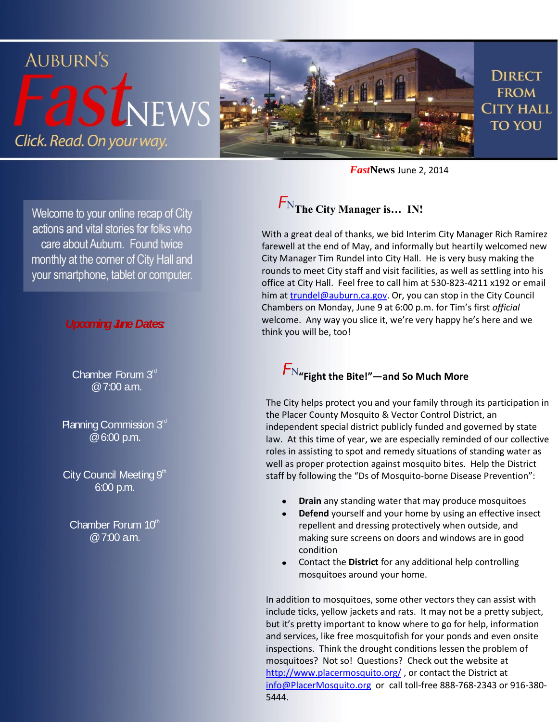

*Fast***News** June 2, 2014

#### Welcome to your online recap of City actions and vital stories for folks who care about Auburn. Found twice monthly at the corner of City Hall and your smartphone, tablet or computer.

#### **Upcoming June Dates:**

Chamber Forum 3rd @ 7:00 a.m.

Planning Commission  $3<sup>rd</sup>$ @ 6:00 p.m.

City Council Meeting  $9<sup>th</sup>$ 6:00 p.m.

Chamber Forum 10th  $@7:00$  am.

## **The City Manager is… IN!**

With a great deal of thanks, we bid Interim City Manager Rich Ramirez farewell at the end of May, and informally but heartily welcomed new City Manager Tim Rundel into City Hall. He is very busy making the rounds to meet City staff and visit facilities, as well as settling into his office at City Hall. Feel free to call him at 530-823-4211 x192 or email him at [trundel@auburn.ca.gov.](trundel@auburn.ca.gov) Or, you can stop in the City Council Chambers on Monday, June 9 at 6:00 p.m. for Tim's first *official* welcome. Any way you slice it, we're very happy he's here and we think you will be, too!

## **"Fight the Bite!"—and So Much More**

The City helps protect you and your family through its participation in the Placer County Mosquito & Vector Control District, an independent special district publicly funded and governed by state law. At this time of year, we are especially reminded of our collective roles in assisting to spot and remedy situations of standing water as well as proper protection against mosquito bites. Help the District staff by following the "Ds of Mosquito-borne Disease Prevention":

- **Drain** any standing water that may produce mosquitoes
- **Defend** yourself and your home by using an effective insect repellent and dressing protectively when outside, and making sure screens on doors and windows are in good condition
- Contact the **District** for any additional help controlling mosquitoes around your home.

In addition to mosquitoes, some other vectors they can assist with include ticks, yellow jackets and rats. It may not be a pretty subject, but it's pretty important to know where to go for help, information and services, like free mosquitofish for your ponds and even onsite inspections. Think the drought conditions lessen the problem of mosquitoes? Not so! Questions? Check out the website at <http://www.placermosquito.org/> , or contact the District at [info@PlacerMosquito.org](mailto:info@PlacerMosquito.org) or call toll-free 888-768-2343 or 916-380- 5444.